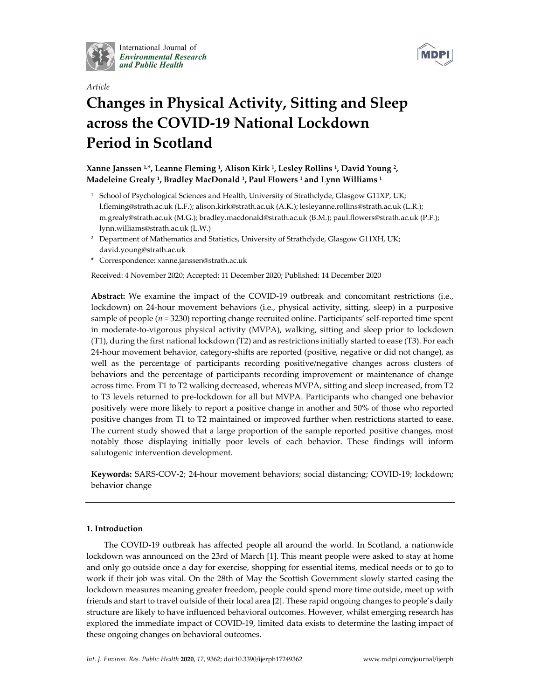

*Article*

International Journal of **Environmental Research** and Public Health



# **Changes in Physical Activity, Sitting and Sleep across the COVID-19 National Lockdown Period in Scotland**

**Xanne Janssen 1,** \***, Leanne Fleming 1, Alison Kirk 1, Lesley Rollins 1, David Young 2, Madeleine Grealy 1, Bradley MacDonald 1, Paul Flowers <sup>1</sup> and Lynn Williams <sup>1</sup>**

- <sup>1</sup> School of Psychological Sciences and Health, University of Strathclyde, Glasgow G11XP, UK; l.fleming@strath.ac.uk (L.F.); alison.kirk@strath.ac.uk (A.K.); lesleyanne.rollins@strath.ac.uk (L.R.); m.grealy@strath.ac.uk (M.G.); bradley.macdonald@strath.ac.uk (B.M.); paul.flowers@strath.ac.uk (P.F.); lynn.williams@strath.ac.uk (L.W.)
- <sup>2</sup> Department of Mathematics and Statistics, University of Strathclyde, Glasgow G11XH, UK; david.young@strath.ac.uk
- \* Correspondence: xanne.janssen@strath.ac.uk

Received: 4 November 2020; Accepted: 11 December 2020; Published: 14 December 2020

**Abstract:** We examine the impact of the COVID-19 outbreak and concomitant restrictions (i.e., lockdown) on 24-hour movement behaviors (i.e., physical activity, sitting, sleep) in a purposive sample of people (*n* = 3230) reporting change recruited online. Participants' self-reported time spent in moderate-to-vigorous physical activity (MVPA), walking, sitting and sleep prior to lockdown (T1), during the first national lockdown (T2) and as restrictions initially started to ease (T3). For each 24-hour movement behavior, category-shifts are reported (positive, negative or did not change), as well as the percentage of participants recording positive/negative changes across clusters of behaviors and the percentage of participants recording improvement or maintenance of change across time. From T1 to T2 walking decreased, whereas MVPA, sitting and sleep increased, from T2 to T3 levels returned to pre-lockdown for all but MVPA. Participants who changed one behavior positively were more likely to report a positive change in another and 50% of those who reported positive changes from T1 to T2 maintained or improved further when restrictions started to ease. The current study showed that a large proportion of the sample reported positive changes, most notably those displaying initially poor levels of each behavior. These findings will inform salutogenic intervention development.

**Keywords:** SARS-COV-2; 24-hour movement behaviors; social distancing; COVID-19; lockdown; behavior change

## **1. Introduction**

The COVID-19 outbreak has affected people all around the world. In Scotland, a nationwide lockdown was announced on the 23rd of March [1]. This meant people were asked to stay at home and only go outside once a day for exercise, shopping for essential items, medical needs or to go to work if their job was vital. On the 28th of May the Scottish Government slowly started easing the lockdown measures meaning greater freedom, people could spend more time outside, meet up with friends and start to travel outside of their local area [2]. These rapid ongoing changes to people's daily structure are likely to have influenced behavioral outcomes. However, whilst emerging research has explored the immediate impact of COVID-19, limited data exists to determine the lasting impact of these ongoing changes on behavioral outcomes.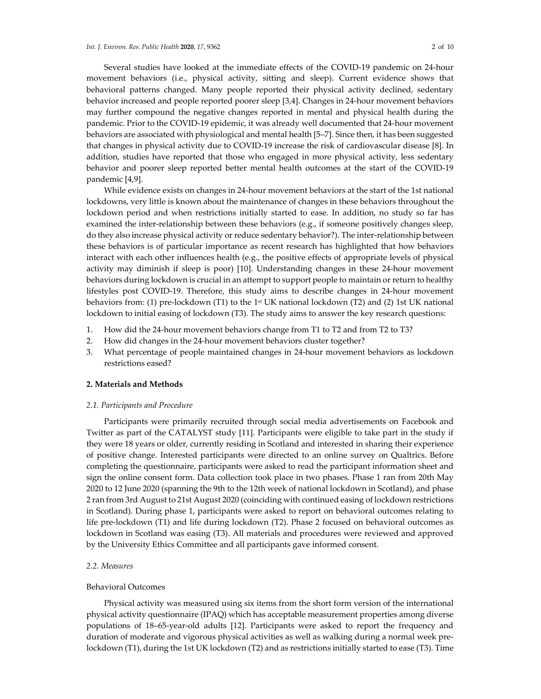Several studies have looked at the immediate effects of the COVID-19 pandemic on 24-hour movement behaviors (i.e., physical activity, sitting and sleep). Current evidence shows that behavioral patterns changed. Many people reported their physical activity declined, sedentary behavior increased and people reported poorer sleep [3,4]. Changes in 24-hour movement behaviors may further compound the negative changes reported in mental and physical health during the pandemic. Prior to the COVID-19 epidemic, it was already well documented that 24-hour movement behaviors are associated with physiological and mental health [5–7]. Since then, it has been suggested that changes in physical activity due to COVID-19 increase the risk of cardiovascular disease [8]. In addition, studies have reported that those who engaged in more physical activity, less sedentary behavior and poorer sleep reported better mental health outcomes at the start of the COVID-19 pandemic [4,9].

While evidence exists on changes in 24-hour movement behaviors at the start of the 1st national lockdowns, very little is known about the maintenance of changes in these behaviors throughout the lockdown period and when restrictions initially started to ease. In addition, no study so far has examined the inter-relationship between these behaviors (e.g., if someone positively changes sleep, do they also increase physical activity or reduce sedentary behavior?). The inter-relationship between these behaviors is of particular importance as recent research has highlighted that how behaviors interact with each other influences health (e.g., the positive effects of appropriate levels of physical activity may diminish if sleep is poor) [10]. Understanding changes in these 24-hour movement behaviors during lockdown is crucial in an attempt to support people to maintain or return to healthy lifestyles post COVID-19. Therefore, this study aims to describe changes in 24-hour movement behaviors from: (1) pre-lockdown (T1) to the 1<sup>st</sup> UK national lockdown (T2) and (2) 1st UK national lockdown to initial easing of lockdown (T3). The study aims to answer the key research questions:

- 1. How did the 24-hour movement behaviors change from T1 to T2 and from T2 to T3?
- 2. How did changes in the 24-hour movement behaviors cluster together?
- 3. What percentage of people maintained changes in 24-hour movement behaviors as lockdown restrictions eased?

## **2. Materials and Methods**

#### *2.1. Participants and Procedure*

Participants were primarily recruited through social media advertisements on Facebook and Twitter as part of the CATALYST study [11]. Participants were eligible to take part in the study if they were 18 years or older, currently residing in Scotland and interested in sharing their experience of positive change. Interested participants were directed to an online survey on Qualtrics. Before completing the questionnaire, participants were asked to read the participant information sheet and sign the online consent form. Data collection took place in two phases. Phase 1 ran from 20th May 2020 to 12 June 2020 (spanning the 9th to the 12th week of national lockdown in Scotland), and phase 2 ran from 3rd August to 21st August 2020 (coinciding with continued easing of lockdown restrictions in Scotland). During phase 1, participants were asked to report on behavioral outcomes relating to life pre-lockdown (T1) and life during lockdown (T2). Phase 2 focused on behavioral outcomes as lockdown in Scotland was easing (T3). All materials and procedures were reviewed and approved by the University Ethics Committee and all participants gave informed consent.

#### *2.2. Measures*

## Behavioral Outcomes

Physical activity was measured using six items from the short form version of the international physical activity questionnaire (IPAQ) which has acceptable measurement properties among diverse populations of 18–65-year-old adults [12]. Participants were asked to report the frequency and duration of moderate and vigorous physical activities as well as walking during a normal week prelockdown (T1), during the 1st UK lockdown (T2) and as restrictions initially started to ease (T3). Time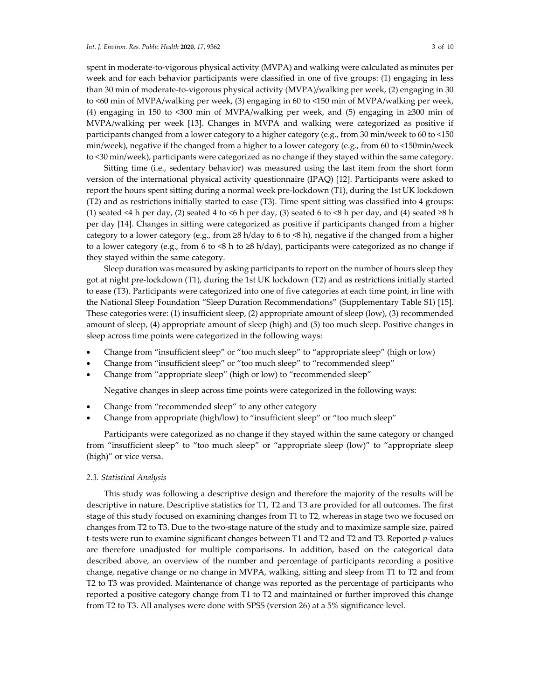spent in moderate-to-vigorous physical activity (MVPA) and walking were calculated as minutes per week and for each behavior participants were classified in one of five groups: (1) engaging in less than 30 min of moderate-to-vigorous physical activity (MVPA)/walking per week, (2) engaging in 30 to <60 min of MVPA/walking per week, (3) engaging in 60 to <150 min of MVPA/walking per week, (4) engaging in 150 to <300 min of MVPA/walking per week, and (5) engaging in ≥300 min of MVPA/walking per week [13]. Changes in MVPA and walking were categorized as positive if participants changed from a lower category to a higher category (e.g., from 30 min/week to 60 to <150 min/week), negative if the changed from a higher to a lower category (e.g., from 60 to <150min/week to <30 min/week), participants were categorized as no change if they stayed within the same category.

Sitting time (i.e., sedentary behavior) was measured using the last item from the short form version of the international physical activity questionnaire (IPAQ) [12]. Participants were asked to report the hours spent sitting during a normal week pre-lockdown (T1), during the 1st UK lockdown (T2) and as restrictions initially started to ease (T3). Time spent sitting was classified into 4 groups: (1) seated <4 h per day, (2) seated 4 to <6 h per day, (3) seated 6 to <8 h per day, and (4) seated ≥8 h per day [14]. Changes in sitting were categorized as positive if participants changed from a higher category to a lower category (e.g., from ≥8 h/day to 6 to <8 h), negative if the changed from a higher to a lower category (e.g., from 6 to <8 h to ≥8 h/day), participants were categorized as no change if they stayed within the same category.

Sleep duration was measured by asking participants to report on the number of hours sleep they got at night pre-lockdown (T1), during the 1st UK lockdown (T2) and as restrictions initially started to ease (T3). Participants were categorized into one of five categories at each time point, in line with the National Sleep Foundation "Sleep Duration Recommendations" (Supplementary Table S1) [15]. These categories were: (1) insufficient sleep, (2) appropriate amount of sleep (low), (3) recommended amount of sleep, (4) appropriate amount of sleep (high) and (5) too much sleep. Positive changes in sleep across time points were categorized in the following ways:

- Change from "insufficient sleep" or "too much sleep" to "appropriate sleep" (high or low)
- Change from "insufficient sleep" or "too much sleep" to "recommended sleep"
- Change from ''appropriate sleep" (high or low) to "recommended sleep"

Negative changes in sleep across time points were categorized in the following ways:

- Change from "recommended sleep" to any other category
- Change from appropriate (high/low) to "insufficient sleep" or "too much sleep"

Participants were categorized as no change if they stayed within the same category or changed from "insufficient sleep" to "too much sleep" or "appropriate sleep (low)" to "appropriate sleep (high)" or vice versa.

#### *2.3. Statistical Analysis*

This study was following a descriptive design and therefore the majority of the results will be descriptive in nature. Descriptive statistics for T1, T2 and T3 are provided for all outcomes. The first stage of this study focused on examining changes from T1 to T2, whereas in stage two we focused on changes from T2 to T3. Due to the two-stage nature of the study and to maximize sample size, paired t-tests were run to examine significant changes between T1 and T2 and T2 and T3. Reported *p*-values are therefore unadjusted for multiple comparisons. In addition, based on the categorical data described above, an overview of the number and percentage of participants recording a positive change, negative change or no change in MVPA, walking, sitting and sleep from T1 to T2 and from T2 to T3 was provided. Maintenance of change was reported as the percentage of participants who reported a positive category change from T1 to T2 and maintained or further improved this change from T2 to T3. All analyses were done with SPSS (version 26) at a 5% significance level.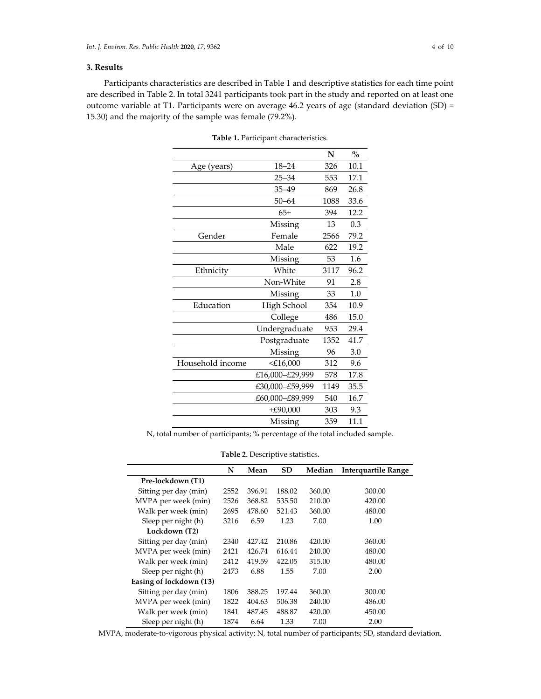# **3. Results**

Participants characteristics are described in Table 1 and descriptive statistics for each time point are described in Table 2. In total 3241 participants took part in the study and reported on at least one outcome variable at T1. Participants were on average 46.2 years of age (standard deviation (SD) = 15.30) and the majority of the sample was female (79.2%).

|                  |                 | N    | $\mathbf{O}_{\mathbf{O}}^{\prime}$ |
|------------------|-----------------|------|------------------------------------|
| Age (years)      | $18 - 24$       | 326  | 10.1                               |
|                  | $25 - 34$       | 553  | 17.1                               |
|                  | $35 - 49$       | 869  | 26.8                               |
|                  | $50 - 64$       | 1088 | 33.6                               |
|                  | $65+$           | 394  | 12.2                               |
|                  | Missing         | 13   | 0.3                                |
| Gender           | Female          | 2566 | 79.2                               |
|                  | Male            | 622  | 19.2                               |
|                  | Missing         | 53   | 1.6                                |
| Ethnicity        | White           | 3117 | 96.2                               |
|                  | Non-White       | 91   | 2.8                                |
|                  | Missing         | 33   | 1.0                                |
| Education        | High School     | 354  | 10.9                               |
|                  | College         | 486  | 15.0                               |
|                  | Undergraduate   | 953  | 29.4                               |
|                  | Postgraduate    | 1352 | 41.7                               |
|                  | Missing         | 96   | 3.0                                |
| Household income | $<$ £16,000     | 312  | 9.6                                |
|                  | £16,000-£29,999 | 578  | 17.8                               |
|                  | £30,000-£59,999 | 1149 | 35.5                               |
|                  | £60,000-£89,999 | 540  | 16.7                               |
|                  | $+£90,000$      | 303  | 9.3                                |
|                  | Missing         | 359  | 11.1                               |

**Table 1.** Participant characteristics.

N, total number of participants; % percentage of the total included sample.

## **Table 2.** Descriptive statistics**.**

|                         | N    | Mean   | <b>SD</b> | Median | <b>Interquartile Range</b> |
|-------------------------|------|--------|-----------|--------|----------------------------|
| Pre-lockdown (T1)       |      |        |           |        |                            |
| Sitting per day (min)   | 2552 | 396.91 | 188.02    | 360.00 | 300.00                     |
| MVPA per week (min)     | 2526 | 368.82 | 535.50    | 210.00 | 420.00                     |
| Walk per week (min)     | 2695 | 478.60 | 521.43    | 360.00 | 480.00                     |
| Sleep per night (h)     | 3216 | 6.59   | 1.23      | 7.00   | 1.00                       |
| Lockdown (T2)           |      |        |           |        |                            |
| Sitting per day (min)   | 2340 | 427.42 | 210.86    | 420.00 | 360.00                     |
| MVPA per week (min)     | 2421 | 426.74 | 616.44    | 240.00 | 480.00                     |
| Walk per week (min)     | 2412 | 419.59 | 422.05    | 315.00 | 480.00                     |
| Sleep per night (h)     | 2473 | 6.88   | 1.55      | 7.00   | 2.00                       |
| Easing of lockdown (T3) |      |        |           |        |                            |
| Sitting per day (min)   | 1806 | 388.25 | 197.44    | 360.00 | 300.00                     |
| MVPA per week (min)     | 1822 | 404.63 | 506.38    | 240.00 | 486.00                     |
| Walk per week (min)     | 1841 | 487.45 | 488.87    | 420.00 | 450.00                     |
| Sleep per night (h)     | 1874 | 6.64   | 1.33      | 7.00   | 2.00                       |

MVPA, moderate-to-vigorous physical activity; N, total number of participants; SD, standard deviation.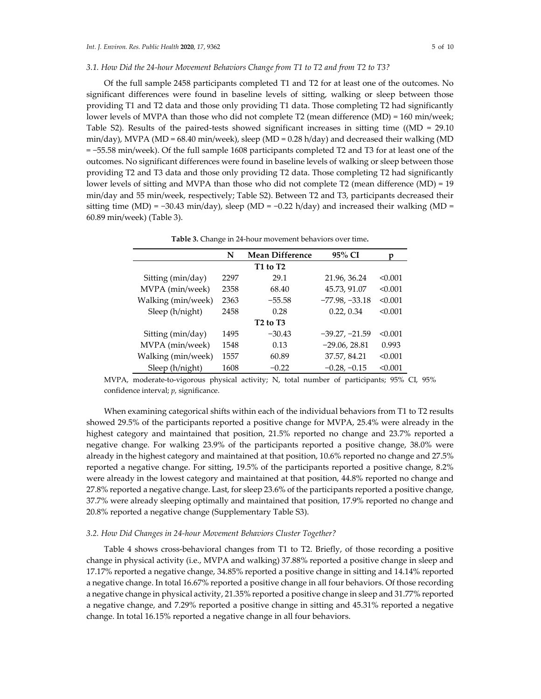## *3.1. How Did the 24-hour Movement Behaviors Change from T1 to T2 and from T2 to T3?*

Of the full sample 2458 participants completed T1 and T2 for at least one of the outcomes. No significant differences were found in baseline levels of sitting, walking or sleep between those providing T1 and T2 data and those only providing T1 data. Those completing T2 had significantly lower levels of MVPA than those who did not complete T2 (mean difference (MD) = 160 min/week; Table S2). Results of the paired-tests showed significant increases in sitting time ((MD = 29.10 min/day), MVPA (MD = 68.40 min/week), sleep (MD = 0.28 h/day) and decreased their walking (MD = −55.58 min/week). Of the full sample 1608 participants completed T2 and T3 for at least one of the outcomes. No significant differences were found in baseline levels of walking or sleep between those providing T2 and T3 data and those only providing T2 data. Those completing T2 had significantly lower levels of sitting and MVPA than those who did not complete T2 (mean difference (MD) = 19 min/day and 55 min/week, respectively; Table S2). Between T2 and T3, participants decreased their sitting time (MD) =  $-30.43 \text{ min/day}$ , sleep (MD =  $-0.22 \text{ h/day}$ ) and increased their walking (MD = 60.89 min/week) (Table 3).

|                    | N        | <b>Mean Difference</b> | 95% CI           | n       |  |  |  |  |
|--------------------|----------|------------------------|------------------|---------|--|--|--|--|
|                    | T1 to T2 |                        |                  |         |  |  |  |  |
| Sitting (min/day)  | 2297     | 29.1                   | 21.96, 36.24     | < 0.001 |  |  |  |  |
| MVPA (min/week)    | 2358     | 68.40                  | 45.73, 91.07     | < 0.001 |  |  |  |  |
| Walking (min/week) | 2363     | $-55.58$               | $-77.98, -33.18$ | < 0.001 |  |  |  |  |
| Sleep (h/night)    | 2458     | 0.28                   | 0.22, 0.34       | < 0.001 |  |  |  |  |
| $T2$ to $T3$       |          |                        |                  |         |  |  |  |  |
| Sitting (min/day)  | 1495     | $-30.43$               | $-39.27, -21.59$ | < 0.001 |  |  |  |  |
| MVPA (min/week)    | 1548     | 0.13                   | $-29.06, 28.81$  | 0.993   |  |  |  |  |
| Walking (min/week) | 1557     | 60.89                  | 37.57, 84.21     | < 0.001 |  |  |  |  |
| Sleep (h/night)    | 1608     | $-0.22$                | $-0.28, -0.15$   | < 0.001 |  |  |  |  |

| Table 3. Change in 24-hour movement behaviors over time. |  |  |
|----------------------------------------------------------|--|--|
|----------------------------------------------------------|--|--|

MVPA, moderate-to-vigorous physical activity; N, total number of participants; 95% CI, 95% confidence interval; *p*, significance.

When examining categorical shifts within each of the individual behaviors from T1 to T2 results showed 29.5% of the participants reported a positive change for MVPA, 25.4% were already in the highest category and maintained that position, 21.5% reported no change and 23.7% reported a negative change. For walking 23.9% of the participants reported a positive change, 38.0% were already in the highest category and maintained at that position, 10.6% reported no change and 27.5% reported a negative change. For sitting, 19.5% of the participants reported a positive change, 8.2% were already in the lowest category and maintained at that position, 44.8% reported no change and 27.8% reported a negative change. Last, for sleep 23.6% of the participants reported a positive change, 37.7% were already sleeping optimally and maintained that position, 17.9% reported no change and 20.8% reported a negative change (Supplementary Table S3).

## *3.2. How Did Changes in 24-hour Movement Behaviors Cluster Together?*

Table 4 shows cross-behavioral changes from T1 to T2. Briefly, of those recording a positive change in physical activity (i.e., MVPA and walking) 37.88% reported a positive change in sleep and 17.17% reported a negative change, 34.85% reported a positive change in sitting and 14.14% reported a negative change. In total 16.67% reported a positive change in all four behaviors. Of those recording a negative change in physical activity, 21.35% reported a positive change in sleep and 31.77% reported a negative change, and 7.29% reported a positive change in sitting and 45.31% reported a negative change. In total 16.15% reported a negative change in all four behaviors.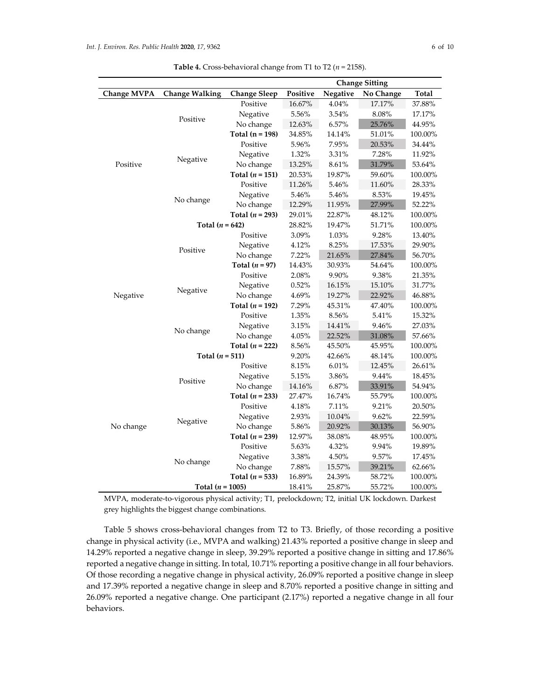|                    |                       |                     | <b>Change Sitting</b> |          |           |         |
|--------------------|-----------------------|---------------------|-----------------------|----------|-----------|---------|
| <b>Change MVPA</b> | <b>Change Walking</b> | <b>Change Sleep</b> | Positive              | Negative | No Change | Total   |
|                    |                       | Positive            | 16.67%                | 4.04%    | 17.17%    | 37.88%  |
|                    |                       | Negative            | 5.56%                 | 3.54%    | 8.08%     | 17.17%  |
|                    | Positive              | No change           | 12.63%                | 6.57%    | 25.76%    | 44.95%  |
|                    |                       | Total $(n = 198)$   | 34.85%                | 14.14%   | 51.01%    | 100.00% |
|                    |                       | Positive            | 5.96%                 | 7.95%    | 20.53%    | 34.44%  |
|                    |                       | Negative            | 1.32%                 | 3.31%    | 7.28%     | 11.92%  |
| Positive           | Negative              | No change           | 13.25%                | 8.61%    | 31.79%    | 53.64%  |
|                    |                       | Total $(n = 151)$   | 20.53%                | 19.87%   | 59.60%    | 100.00% |
|                    |                       | Positive            | 11.26%                | 5.46%    | 11.60%    | 28.33%  |
|                    |                       | Negative            | 5.46%                 | 5.46%    | 8.53%     | 19.45%  |
|                    | No change             | No change           | 12.29%                | 11.95%   | 27.99%    | 52.22%  |
|                    |                       | Total $(n = 293)$   | 29.01%                | 22.87%   | 48.12%    | 100.00% |
|                    | Total $(n = 642)$     |                     | 28.82%                | 19.47%   | 51.71%    | 100.00% |
|                    |                       | Positive            | 3.09%                 | 1.03%    | 9.28%     | 13.40%  |
|                    |                       | Negative            | 4.12%                 | 8.25%    | 17.53%    | 29.90%  |
|                    | Positive              | No change           | 7.22%                 | 21.65%   | 27.84%    | 56.70%  |
|                    |                       | Total $(n = 97)$    | 14.43%                | 30.93%   | 54.64%    | 100.00% |
|                    |                       | Positive            | 2.08%                 | 9.90%    | 9.38%     | 21.35%  |
|                    |                       | Negative            | 0.52%                 | 16.15%   | 15.10%    | 31.77%  |
| Negative           | Negative              | No change           | 4.69%                 | 19.27%   | 22.92%    | 46.88%  |
|                    |                       | Total $(n = 192)$   | 7.29%                 | 45.31%   | 47.40%    | 100.00% |
|                    |                       | Positive            | 1.35%                 | 8.56%    | 5.41%     | 15.32%  |
|                    | No change             | Negative            | 3.15%                 | 14.41%   | 9.46%     | 27.03%  |
|                    |                       | No change           | 4.05%                 | 22.52%   | 31.08%    | 57.66%  |
|                    |                       | Total $(n = 222)$   | 8.56%                 | 45.50%   | 45.95%    | 100.00% |
| Total $(n = 511)$  |                       |                     | 9.20%                 | 42.66%   | 48.14%    | 100.00% |
|                    |                       | Positive            | 8.15%                 | 6.01%    | 12.45%    | 26.61%  |
|                    |                       | Negative            | 5.15%                 | 3.86%    | 9.44%     | 18.45%  |
|                    | Positive              | No change           | 14.16%                | 6.87%    | 33.91%    | 54.94%  |
|                    |                       | Total $(n = 233)$   | 27.47%                | 16.74%   | 55.79%    | 100.00% |
|                    |                       | Positive            | 4.18%                 | 7.11%    | 9.21%     | 20.50%  |
|                    |                       | Negative            | 2.93%                 | 10.04%   | 9.62%     | 22.59%  |
| No change          | Negative              | No change           | 5.86%                 | 20.92%   | 30.13%    | 56.90%  |
|                    |                       | Total $(n = 239)$   | 12.97%                | 38.08%   | 48.95%    | 100.00% |
|                    |                       | Positive            | 5.63%                 | 4.32%    | 9.94%     | 19.89%  |
|                    |                       | Negative            | 3.38%                 | 4.50%    | 9.57%     | 17.45%  |
|                    | No change             | No change           | 7.88%                 | 15.57%   | 39.21%    | 62.66%  |
|                    |                       | Total $(n = 533)$   | 16.89%                | 24.39%   | 58.72%    | 100.00% |
|                    | Total $(n = 1005)$    |                     | 18.41%                | 25.87%   | 55.72%    | 100.00% |

**Table 4.** Cross-behavioral change from T1 to T2 (*n* = 2158).

MVPA, moderate-to-vigorous physical activity; T1, prelockdown; T2, initial UK lockdown. Darkest grey highlights the biggest change combinations.

Table 5 shows cross-behavioral changes from T2 to T3. Briefly, of those recording a positive change in physical activity (i.e., MVPA and walking) 21.43% reported a positive change in sleep and 14.29% reported a negative change in sleep, 39.29% reported a positive change in sitting and 17.86% reported a negative change in sitting. In total, 10.71% reporting a positive change in all four behaviors. Of those recording a negative change in physical activity, 26.09% reported a positive change in sleep and 17.39% reported a negative change in sleep and 8.70% reported a positive change in sitting and 26.09% reported a negative change. One participant (2.17%) reported a negative change in all four behaviors.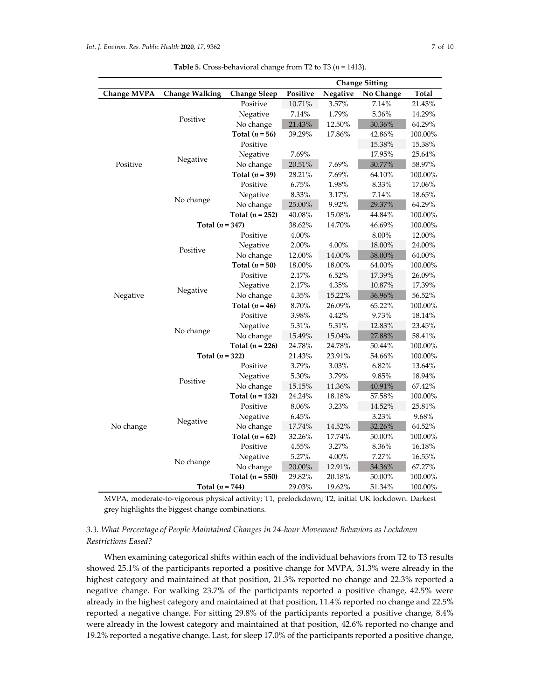|                    |                       |                     |          | <b>Change Sitting</b> |           |         |  |
|--------------------|-----------------------|---------------------|----------|-----------------------|-----------|---------|--|
| <b>Change MVPA</b> | <b>Change Walking</b> | <b>Change Sleep</b> | Positive | Negative              | No Change | Total   |  |
|                    |                       | Positive            | 10.71%   | 3.57%                 | 7.14%     | 21.43%  |  |
|                    |                       | Negative            | 7.14%    | 1.79%                 | 5.36%     | 14.29%  |  |
|                    | Positive              | No change           | 21.43%   | 12.50%                | 30.36%    | 64.29%  |  |
|                    |                       | Total $(n = 56)$    | 39.29%   | 17.86%                | 42.86%    | 100.00% |  |
|                    |                       | Positive            |          |                       | 15.38%    | 15.38%  |  |
| Positive           |                       | Negative            | 7.69%    |                       | 17.95%    | 25.64%  |  |
|                    | Negative              | No change           | 20.51%   | 7.69%                 | 30.77%    | 58.97%  |  |
|                    |                       | Total $(n = 39)$    | 28.21%   | 7.69%                 | 64.10%    | 100.00% |  |
|                    |                       | Positive            | 6.75%    | 1.98%                 | 8.33%     | 17.06%  |  |
|                    |                       | Negative            | 8.33%    | 3.17%                 | 7.14%     | 18.65%  |  |
|                    | No change             | No change           | 25.00%   | 9.92%                 | 29.37%    | 64.29%  |  |
|                    |                       | Total $(n = 252)$   | 40.08%   | 15.08%                | 44.84%    | 100.00% |  |
|                    | Total $(n = 347)$     |                     | 38.62%   | 14.70%                | 46.69%    | 100.00% |  |
|                    |                       | Positive            | 4.00%    |                       | 8.00%     | 12.00%  |  |
|                    |                       | Negative            | 2.00%    | 4.00%                 | 18.00%    | 24.00%  |  |
|                    | Positive              | No change           | 12.00%   | 14.00%                | 38.00%    | 64.00%  |  |
|                    |                       | Total $(n = 50)$    | 18.00%   | 18.00%                | 64.00%    | 100.00% |  |
|                    |                       | Positive            | 2.17%    | 6.52%                 | 17.39%    | 26.09%  |  |
|                    |                       | Negative            | 2.17%    | 4.35%                 | 10.87%    | 17.39%  |  |
| Negative           | Negative              | No change           | 4.35%    | 15.22%                | 36.96%    | 56.52%  |  |
|                    |                       | Total $(n = 46)$    | 8.70%    | 26.09%                | 65.22%    | 100.00% |  |
|                    | No change             | Positive            | 3.98%    | 4.42%                 | 9.73%     | 18.14%  |  |
|                    |                       | Negative            | 5.31%    | 5.31%                 | 12.83%    | 23.45%  |  |
|                    |                       | No change           | 15.49%   | 15.04%                | 27.88%    | 58.41%  |  |
|                    |                       | Total $(n = 226)$   | 24.78%   | 24.78%                | 50.44%    | 100.00% |  |
|                    | Total $(n = 322)$     |                     | 21.43%   | 23.91%                | 54.66%    | 100.00% |  |
|                    |                       | Positive            | 3.79%    | 3.03%                 | 6.82%     | 13.64%  |  |
|                    |                       | Negative            | 5.30%    | 3.79%                 | 9.85%     | 18.94%  |  |
|                    | Positive              | No change           | 15.15%   | 11.36%                | 40.91%    | 67.42%  |  |
|                    |                       | Total $(n = 132)$   | 24.24%   | 18.18%                | 57.58%    | 100.00% |  |
|                    |                       | Positive            | 8.06%    | 3.23%                 | 14.52%    | 25.81%  |  |
| No change          | Negative              | Negative            | 6.45%    |                       | 3.23%     | 9.68%   |  |
|                    |                       | No change           | 17.74%   | 14.52%                | 32.26%    | 64.52%  |  |
|                    |                       | Total $(n = 62)$    | 32.26%   | 17.74%                | 50.00%    | 100.00% |  |
|                    |                       | Positive            | 4.55%    | 3.27%                 | 8.36%     | 16.18%  |  |
|                    |                       | Negative            | 5.27%    | 4.00%                 | 7.27%     | 16.55%  |  |
|                    | No change             | No change           | 20.00%   | 12.91%                | 34.36%    | 67.27%  |  |
|                    |                       | Total $(n = 550)$   | 29.82%   | 20.18%                | 50.00%    | 100.00% |  |
|                    | Total $(n = 744)$     |                     | 29.03%   | 19.62%                | 51.34%    | 100.00% |  |

**Table 5.** Cross-behavioral change from T2 to T3 ( $n = 1413$ ).

MVPA, moderate-to-vigorous physical activity; T1, prelockdown; T2, initial UK lockdown. Darkest grey highlights the biggest change combinations.

# *3.3. What Percentage of People Maintained Changes in 24-hour Movement Behaviors as Lockdown Restrictions Eased?*

When examining categorical shifts within each of the individual behaviors from T2 to T3 results showed 25.1% of the participants reported a positive change for MVPA, 31.3% were already in the highest category and maintained at that position, 21.3% reported no change and 22.3% reported a negative change. For walking 23.7% of the participants reported a positive change, 42.5% were already in the highest category and maintained at that position, 11.4% reported no change and 22.5% reported a negative change. For sitting 29.8% of the participants reported a positive change, 8.4% were already in the lowest category and maintained at that position, 42.6% reported no change and 19.2% reported a negative change. Last, for sleep 17.0% of the participants reported a positive change,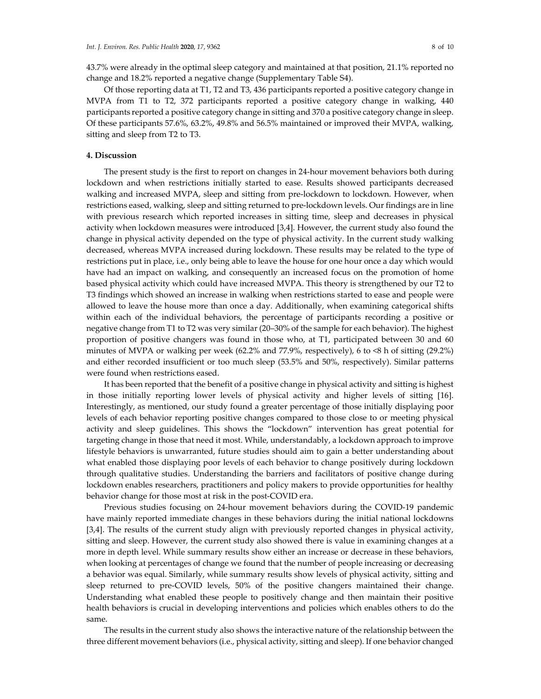43.7% were already in the optimal sleep category and maintained at that position, 21.1% reported no change and 18.2% reported a negative change (Supplementary Table S4).

Of those reporting data at T1, T2 and T3, 436 participants reported a positive category change in MVPA from T1 to T2, 372 participants reported a positive category change in walking, 440 participants reported a positive category change in sitting and 370 a positive category change in sleep. Of these participants 57.6%, 63.2%, 49.8% and 56.5% maintained or improved their MVPA, walking, sitting and sleep from T2 to T3.

#### **4. Discussion**

The present study is the first to report on changes in 24-hour movement behaviors both during lockdown and when restrictions initially started to ease. Results showed participants decreased walking and increased MVPA, sleep and sitting from pre-lockdown to lockdown. However, when restrictions eased, walking, sleep and sitting returned to pre-lockdown levels. Our findings are in line with previous research which reported increases in sitting time, sleep and decreases in physical activity when lockdown measures were introduced [3,4]. However, the current study also found the change in physical activity depended on the type of physical activity. In the current study walking decreased, whereas MVPA increased during lockdown. These results may be related to the type of restrictions put in place, i.e., only being able to leave the house for one hour once a day which would have had an impact on walking, and consequently an increased focus on the promotion of home based physical activity which could have increased MVPA. This theory is strengthened by our T2 to T3 findings which showed an increase in walking when restrictions started to ease and people were allowed to leave the house more than once a day. Additionally, when examining categorical shifts within each of the individual behaviors, the percentage of participants recording a positive or negative change from T1 to T2 was very similar (20–30% of the sample for each behavior). The highest proportion of positive changers was found in those who, at T1, participated between 30 and 60 minutes of MVPA or walking per week (62.2% and 77.9%, respectively), 6 to <8 h of sitting (29.2%) and either recorded insufficient or too much sleep (53.5% and 50%, respectively). Similar patterns were found when restrictions eased.

It has been reported that the benefit of a positive change in physical activity and sitting is highest in those initially reporting lower levels of physical activity and higher levels of sitting [16]. Interestingly, as mentioned, our study found a greater percentage of those initially displaying poor levels of each behavior reporting positive changes compared to those close to or meeting physical activity and sleep guidelines. This shows the "lockdown" intervention has great potential for targeting change in those that need it most. While, understandably, a lockdown approach to improve lifestyle behaviors is unwarranted, future studies should aim to gain a better understanding about what enabled those displaying poor levels of each behavior to change positively during lockdown through qualitative studies. Understanding the barriers and facilitators of positive change during lockdown enables researchers, practitioners and policy makers to provide opportunities for healthy behavior change for those most at risk in the post-COVID era.

Previous studies focusing on 24-hour movement behaviors during the COVID-19 pandemic have mainly reported immediate changes in these behaviors during the initial national lockdowns [3,4]. The results of the current study align with previously reported changes in physical activity, sitting and sleep. However, the current study also showed there is value in examining changes at a more in depth level. While summary results show either an increase or decrease in these behaviors, when looking at percentages of change we found that the number of people increasing or decreasing a behavior was equal. Similarly, while summary results show levels of physical activity, sitting and sleep returned to pre-COVID levels, 50% of the positive changers maintained their change. Understanding what enabled these people to positively change and then maintain their positive health behaviors is crucial in developing interventions and policies which enables others to do the same.

The results in the current study also shows the interactive nature of the relationship between the three different movement behaviors (i.e., physical activity, sitting and sleep). If one behavior changed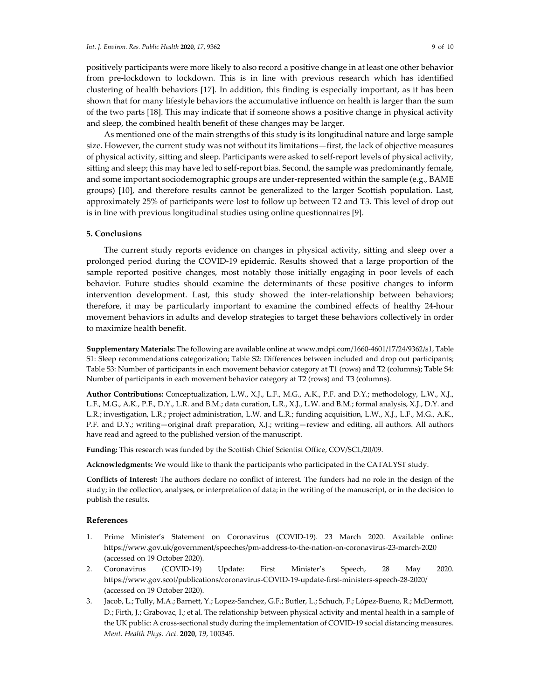positively participants were more likely to also record a positive change in at least one other behavior from pre-lockdown to lockdown. This is in line with previous research which has identified clustering of health behaviors [17]. In addition, this finding is especially important, as it has been shown that for many lifestyle behaviors the accumulative influence on health is larger than the sum of the two parts [18]. This may indicate that if someone shows a positive change in physical activity and sleep, the combined health benefit of these changes may be larger.

As mentioned one of the main strengths of this study is its longitudinal nature and large sample size. However, the current study was not without its limitations—first, the lack of objective measures of physical activity, sitting and sleep. Participants were asked to self-report levels of physical activity, sitting and sleep; this may have led to self-report bias. Second, the sample was predominantly female, and some important sociodemographic groups are under-represented within the sample (e.g., BAME groups) [10], and therefore results cannot be generalized to the larger Scottish population. Last, approximately 25% of participants were lost to follow up between T2 and T3. This level of drop out is in line with previous longitudinal studies using online questionnaires [9].

# **5. Conclusions**

The current study reports evidence on changes in physical activity, sitting and sleep over a prolonged period during the COVID-19 epidemic. Results showed that a large proportion of the sample reported positive changes, most notably those initially engaging in poor levels of each behavior. Future studies should examine the determinants of these positive changes to inform intervention development. Last, this study showed the inter-relationship between behaviors; therefore, it may be particularly important to examine the combined effects of healthy 24-hour movement behaviors in adults and develop strategies to target these behaviors collectively in order to maximize health benefit.

**Supplementary Materials:** The following are available online at www.mdpi.com/1660-4601/17/24/9362/s1, Table S1: Sleep recommendations categorization; Table S2: Differences between included and drop out participants; Table S3: Number of participants in each movement behavior category at T1 (rows) and T2 (columns); Table S4: Number of participants in each movement behavior category at T2 (rows) and T3 (columns).

**Author Contributions:** Conceptualization, L.W., X.J., L.F., M.G., A.K., P.F. and D.Y.; methodology, L.W., X.J., L.F., M.G., A.K., P.F., D.Y., L.R. and B.M.; data curation, L.R., X.J., L.W. and B.M.; formal analysis, X.J., D.Y. and L.R.; investigation, L.R.; project administration, L.W. and L.R.; funding acquisition, L.W., X.J., L.F., M.G., A.K., P.F. and D.Y.; writing—original draft preparation, X.J.; writing—review and editing, all authors. All authors have read and agreed to the published version of the manuscript.

**Funding:** This research was funded by the Scottish Chief Scientist Office, COV/SCL/20/09.

**Acknowledgments:** We would like to thank the participants who participated in the CATALYST study.

**Conflicts of Interest:** The authors declare no conflict of interest. The funders had no role in the design of the study; in the collection, analyses, or interpretation of data; in the writing of the manuscript, or in the decision to publish the results.

## **References**

- 1. Prime Minister's Statement on Coronavirus (COVID-19). 23 March 2020. Available online: https://www.gov.uk/government/speeches/pm-address-to-the-nation-on-coronavirus-23-march-2020 (accessed on 19 October 2020).
- 2. Coronavirus (COVID-19) Update: First Minister's Speech, 28 May 2020. https://www.gov.scot/publications/coronavirus-COVID-19-update-first-ministers-speech-28-2020/ (accessed on 19 October 2020).
- 3. Jacob, L.; Tully, M.A.; Barnett, Y.; Lopez-Sanchez, G.F.; Butler, L.; Schuch, F.; López-Bueno, R.; McDermott, D.; Firth, J.; Grabovac, I.; et al. The relationship between physical activity and mental health in a sample of the UK public: A cross-sectional study during the implementation of COVID-19 social distancing measures. *Ment. Health Phys. Act.* **2020**, *19*, 100345.